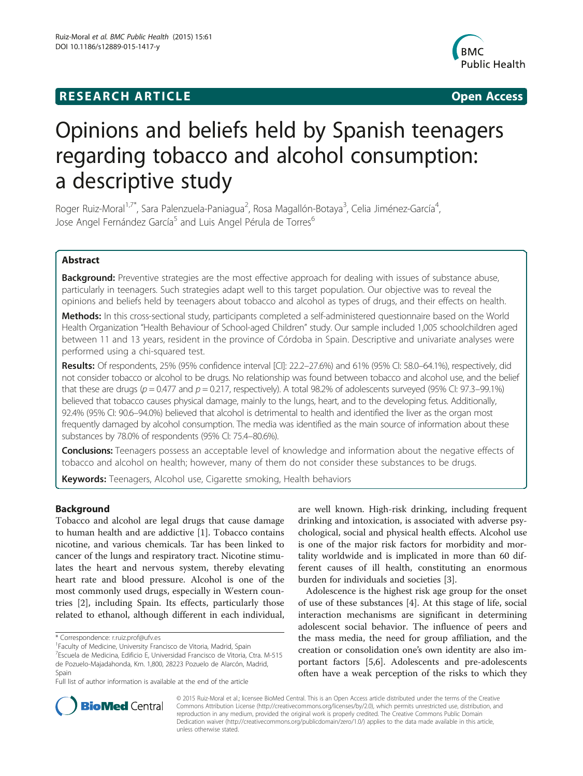# **RESEARCH ARTICLE Example 2014 12:30 The SEAR CHA R TIGGS**



# Opinions and beliefs held by Spanish teenagers regarding tobacco and alcohol consumption: a descriptive study

Roger Ruiz-Moral<sup>1,7\*</sup>, Sara Palenzuela-Paniagua<sup>2</sup>, Rosa Magallón-Botaya<sup>3</sup>, Celia Jiménez-García<sup>4</sup> , Jose Angel Fernández García<sup>5</sup> and Luis Angel Pérula de Torres<sup>6</sup>

# Abstract

Background: Preventive strategies are the most effective approach for dealing with issues of substance abuse, particularly in teenagers. Such strategies adapt well to this target population. Our objective was to reveal the opinions and beliefs held by teenagers about tobacco and alcohol as types of drugs, and their effects on health.

Methods: In this cross-sectional study, participants completed a self-administered questionnaire based on the World Health Organization "Health Behaviour of School-aged Children" study. Our sample included 1,005 schoolchildren aged between 11 and 13 years, resident in the province of Córdoba in Spain. Descriptive and univariate analyses were performed using a chi-squared test.

Results: Of respondents, 25% (95% confidence interval [CI]: 22.2-27.6%) and 61% (95% CI: 58.0-64.1%), respectively, did not consider tobacco or alcohol to be drugs. No relationship was found between tobacco and alcohol use, and the belief that these are drugs ( $p = 0.477$  and  $p = 0.217$ , respectively). A total 98.2% of adolescents surveyed (95% CI: 97.3–99.1%) believed that tobacco causes physical damage, mainly to the lungs, heart, and to the developing fetus. Additionally, 92.4% (95% CI: 90.6–94.0%) believed that alcohol is detrimental to health and identified the liver as the organ most frequently damaged by alcohol consumption. The media was identified as the main source of information about these substances by 78.0% of respondents (95% CI: 75.4–80.6%).

Conclusions: Teenagers possess an acceptable level of knowledge and information about the negative effects of tobacco and alcohol on health; however, many of them do not consider these substances to be drugs.

Keywords: Teenagers, Alcohol use, Cigarette smoking, Health behaviors

# Background

Tobacco and alcohol are legal drugs that cause damage to human health and are addictive [[1\]](#page-5-0). Tobacco contains nicotine, and various chemicals. Tar has been linked to cancer of the lungs and respiratory tract. Nicotine stimulates the heart and nervous system, thereby elevating heart rate and blood pressure. Alcohol is one of the most commonly used drugs, especially in Western countries [\[2](#page-5-0)], including Spain. Its effects, particularly those related to ethanol, although different in each individual,

are well known. High-risk drinking, including frequent drinking and intoxication, is associated with adverse psychological, social and physical health effects. Alcohol use is one of the major risk factors for morbidity and mortality worldwide and is implicated in more than 60 different causes of ill health, constituting an enormous burden for individuals and societies [[3\]](#page-5-0).

Adolescence is the highest risk age group for the onset of use of these substances [\[4](#page-5-0)]. At this stage of life, social interaction mechanisms are significant in determining adolescent social behavior. The influence of peers and the mass media, the need for group affiliation, and the creation or consolidation one's own identity are also important factors [[5,6\]](#page-5-0). Adolescents and pre-adolescents often have a weak perception of the risks to which they



© 2015 Ruiz-Moral et al.; licensee BioMed Central. This is an Open Access article distributed under the terms of the Creative Commons Attribution License [\(http://creativecommons.org/licenses/by/2.0\)](http://creativecommons.org/licenses/by/2.0), which permits unrestricted use, distribution, and reproduction in any medium, provided the original work is properly credited. The Creative Commons Public Domain Dedication waiver [\(http://creativecommons.org/publicdomain/zero/1.0/](http://creativecommons.org/publicdomain/zero/1.0/)) applies to the data made available in this article, unless otherwise stated.

<sup>\*</sup> Correspondence: [r.ruiz.prof@ufv.es](mailto:r.ruiz.prof@ufv.es) <sup>1</sup>

<sup>&</sup>lt;sup>1</sup> Faculty of Medicine, University Francisco de Vitoria, Madrid, Spain

<sup>7</sup> Escuela de Medicina, Edificio E, Universidad Francisco de Vitoria, Ctra. M-515 de Pozuelo-Majadahonda, Km. 1,800, 28223 Pozuelo de Alarcón, Madrid, Spain

Full list of author information is available at the end of the article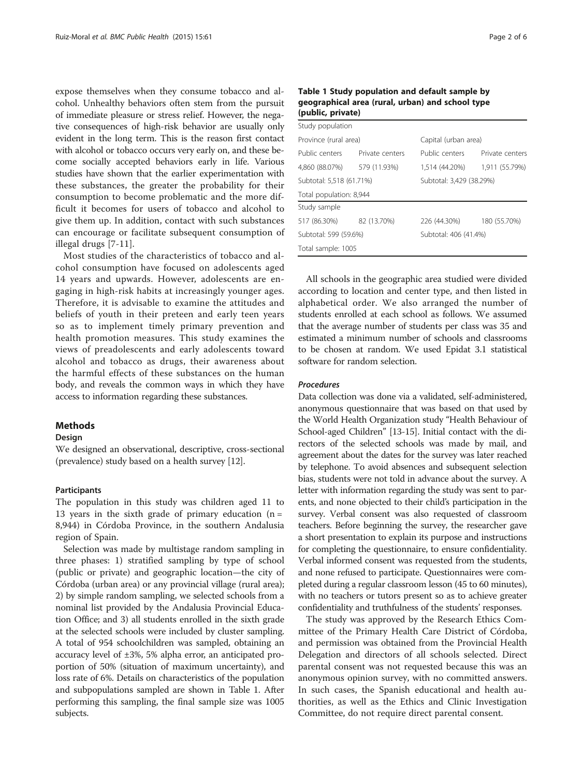expose themselves when they consume tobacco and alcohol. Unhealthy behaviors often stem from the pursuit of immediate pleasure or stress relief. However, the negative consequences of high-risk behavior are usually only evident in the long term. This is the reason first contact with alcohol or tobacco occurs very early on, and these become socially accepted behaviors early in life. Various studies have shown that the earlier experimentation with these substances, the greater the probability for their consumption to become problematic and the more difficult it becomes for users of tobacco and alcohol to give them up. In addition, contact with such substances can encourage or facilitate subsequent consumption of illegal drugs [\[7](#page-5-0)-[11](#page-5-0)].

Most studies of the characteristics of tobacco and alcohol consumption have focused on adolescents aged 14 years and upwards. However, adolescents are engaging in high-risk habits at increasingly younger ages. Therefore, it is advisable to examine the attitudes and beliefs of youth in their preteen and early teen years so as to implement timely primary prevention and health promotion measures. This study examines the views of preadolescents and early adolescents toward alcohol and tobacco as drugs, their awareness about the harmful effects of these substances on the human body, and reveals the common ways in which they have access to information regarding these substances.

# **Methods**

#### **Design**

We designed an observational, descriptive, cross-sectional (prevalence) study based on a health survey [[12](#page-5-0)].

# Participants

The population in this study was children aged 11 to 13 years in the sixth grade of primary education  $(n =$ 8,944) in Córdoba Province, in the southern Andalusia region of Spain.

Selection was made by multistage random sampling in three phases: 1) stratified sampling by type of school (public or private) and geographic location—the city of Córdoba (urban area) or any provincial village (rural area); 2) by simple random sampling, we selected schools from a nominal list provided by the Andalusia Provincial Education Office; and 3) all students enrolled in the sixth grade at the selected schools were included by cluster sampling. A total of 954 schoolchildren was sampled, obtaining an accuracy level of ±3%, 5% alpha error, an anticipated proportion of 50% (situation of maximum uncertainty), and loss rate of 6%. Details on characteristics of the population and subpopulations sampled are shown in Table 1. After performing this sampling, the final sample size was 1005 subjects.

# Table 1 Study population and default sample by geographical area (rural, urban) and school type (public, private)

| Study population         |                 |                          |                 |
|--------------------------|-----------------|--------------------------|-----------------|
| Province (rural area)    |                 | Capital (urban area)     |                 |
| Public centers           | Private centers | Public centers           | Private centers |
| 4,860 (88.07%)           | 579 (11.93%)    | 1.514 (44.20%)           | 1.911 (55.79%)  |
| Subtotal: 5,518 (61.71%) |                 | Subtotal: 3,429 (38.29%) |                 |
| Total population: 8,944  |                 |                          |                 |
| Study sample             |                 |                          |                 |
| 517 (86.30%)             | 82 (13.70%)     | 226 (44.30%)             | 180 (55.70%)    |
| Subtotal: 599 (59.6%)    |                 | Subtotal: 406 (41.4%)    |                 |
| Total sample: 1005       |                 |                          |                 |

All schools in the geographic area studied were divided according to location and center type, and then listed in alphabetical order. We also arranged the number of students enrolled at each school as follows. We assumed that the average number of students per class was 35 and estimated a minimum number of schools and classrooms to be chosen at random. We used Epidat 3.1 statistical software for random selection.

# Procedures

Data collection was done via a validated, self-administered, anonymous questionnaire that was based on that used by the World Health Organization study "Health Behaviour of School-aged Children" [\[13-15](#page-5-0)]. Initial contact with the directors of the selected schools was made by mail, and agreement about the dates for the survey was later reached by telephone. To avoid absences and subsequent selection bias, students were not told in advance about the survey. A letter with information regarding the study was sent to parents, and none objected to their child's participation in the survey. Verbal consent was also requested of classroom teachers. Before beginning the survey, the researcher gave a short presentation to explain its purpose and instructions for completing the questionnaire, to ensure confidentiality. Verbal informed consent was requested from the students, and none refused to participate. Questionnaires were completed during a regular classroom lesson (45 to 60 minutes), with no teachers or tutors present so as to achieve greater confidentiality and truthfulness of the students' responses.

The study was approved by the Research Ethics Committee of the Primary Health Care District of Córdoba, and permission was obtained from the Provincial Health Delegation and directors of all schools selected. Direct parental consent was not requested because this was an anonymous opinion survey, with no committed answers. In such cases, the Spanish educational and health authorities, as well as the Ethics and Clinic Investigation Committee, do not require direct parental consent.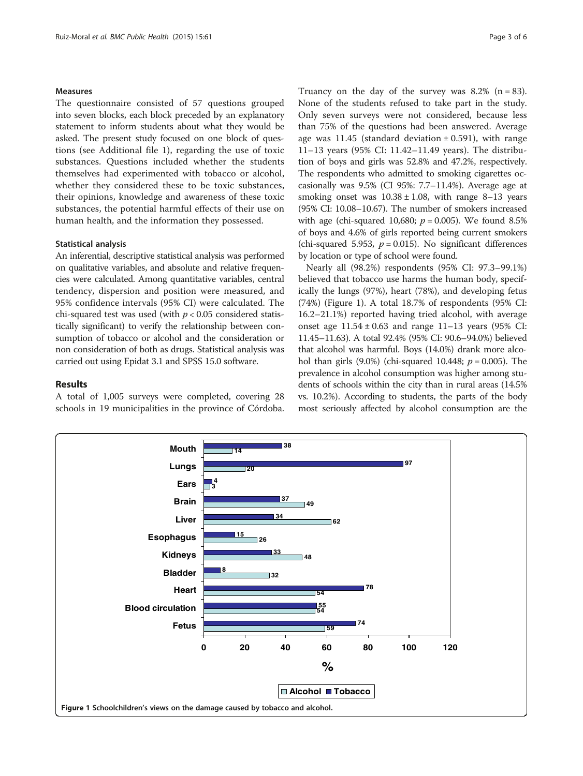# <span id="page-2-0"></span>**Measures**

The questionnaire consisted of 57 questions grouped into seven blocks, each block preceded by an explanatory statement to inform students about what they would be asked. The present study focused on one block of questions (see Additional file [1\)](#page-5-0), regarding the use of toxic substances. Questions included whether the students themselves had experimented with tobacco or alcohol, whether they considered these to be toxic substances, their opinions, knowledge and awareness of these toxic substances, the potential harmful effects of their use on human health, and the information they possessed.

# Statistical analysis

An inferential, descriptive statistical analysis was performed on qualitative variables, and absolute and relative frequencies were calculated. Among quantitative variables, central tendency, dispersion and position were measured, and 95% confidence intervals (95% CI) were calculated. The chi-squared test was used (with  $p < 0.05$  considered statistically significant) to verify the relationship between consumption of tobacco or alcohol and the consideration or non consideration of both as drugs. Statistical analysis was carried out using Epidat 3.1 and SPSS 15.0 software.

# Results

A total of 1,005 surveys were completed, covering 28 schools in 19 municipalities in the province of Córdoba.

Truancy on the day of the survey was  $8.2\%$  (n = 83). None of the students refused to take part in the study. Only seven surveys were not considered, because less than 75% of the questions had been answered. Average age was 11.45 (standard deviation  $\pm$  0.591), with range 11–13 years (95% CI: 11.42–11.49 years). The distribution of boys and girls was 52.8% and 47.2%, respectively. The respondents who admitted to smoking cigarettes occasionally was 9.5% (CI 95%: 7.7–11.4%). Average age at smoking onset was  $10.38 \pm 1.08$ , with range 8-13 years (95% CI: 10.08–10.67). The number of smokers increased with age (chi-squared 10,680;  $p = 0.005$ ). We found 8.5% of boys and 4.6% of girls reported being current smokers (chi-squared 5.953,  $p = 0.015$ ). No significant differences by location or type of school were found.

Nearly all (98.2%) respondents (95% CI: 97.3–99.1%) believed that tobacco use harms the human body, specifically the lungs (97%), heart (78%), and developing fetus (74%) (Figure 1). A total 18.7% of respondents (95% CI: 16.2–21.1%) reported having tried alcohol, with average onset age  $11.54 \pm 0.63$  and range  $11-13$  years (95% CI: 11.45–11.63). A total 92.4% (95% CI: 90.6–94.0%) believed that alcohol was harmful. Boys (14.0%) drank more alcohol than girls  $(9.0\%)$  (chi-squared 10.448;  $p = 0.005$ ). The prevalence in alcohol consumption was higher among students of schools within the city than in rural areas (14.5% vs. 10.2%). According to students, the parts of the body most seriously affected by alcohol consumption are the

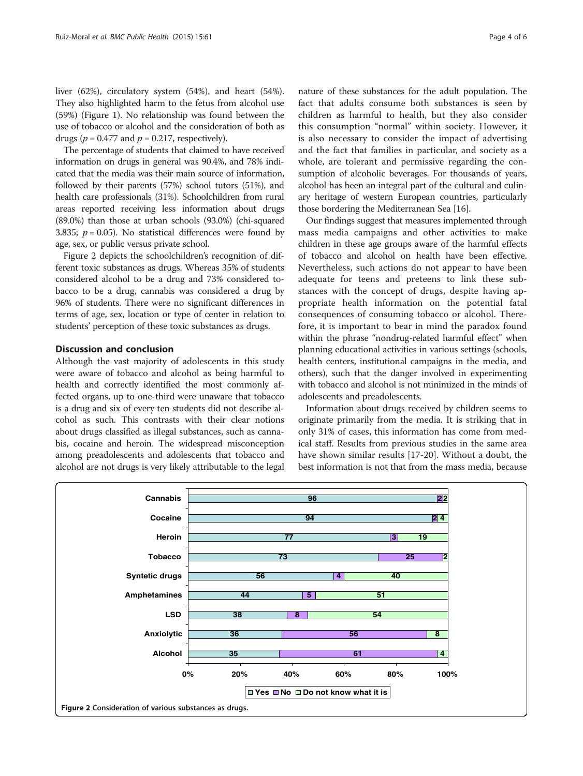liver (62%), circulatory system (54%), and heart (54%). They also highlighted harm to the fetus from alcohol use (59%) (Figure [1\)](#page-2-0). No relationship was found between the use of tobacco or alcohol and the consideration of both as drugs ( $p = 0.477$  and  $p = 0.217$ , respectively).

The percentage of students that claimed to have received information on drugs in general was 90.4%, and 78% indicated that the media was their main source of information, followed by their parents (57%) school tutors (51%), and health care professionals (31%). Schoolchildren from rural areas reported receiving less information about drugs (89.0%) than those at urban schools (93.0%) (chi-squared 3.835;  $p = 0.05$ ). No statistical differences were found by age, sex, or public versus private school.

Figure 2 depicts the schoolchildren's recognition of different toxic substances as drugs. Whereas 35% of students considered alcohol to be a drug and 73% considered tobacco to be a drug, cannabis was considered a drug by 96% of students. There were no significant differences in terms of age, sex, location or type of center in relation to students' perception of these toxic substances as drugs.

# Discussion and conclusion

Although the vast majority of adolescents in this study were aware of tobacco and alcohol as being harmful to health and correctly identified the most commonly affected organs, up to one-third were unaware that tobacco is a drug and six of every ten students did not describe alcohol as such. This contrasts with their clear notions about drugs classified as illegal substances, such as cannabis, cocaine and heroin. The widespread misconception among preadolescents and adolescents that tobacco and alcohol are not drugs is very likely attributable to the legal

nature of these substances for the adult population. The fact that adults consume both substances is seen by children as harmful to health, but they also consider this consumption "normal" within society. However, it is also necessary to consider the impact of advertising and the fact that families in particular, and society as a whole, are tolerant and permissive regarding the consumption of alcoholic beverages. For thousands of years, alcohol has been an integral part of the cultural and culinary heritage of western European countries, particularly those bordering the Mediterranean Sea [\[16\]](#page-5-0).

Our findings suggest that measures implemented through mass media campaigns and other activities to make children in these age groups aware of the harmful effects of tobacco and alcohol on health have been effective. Nevertheless, such actions do not appear to have been adequate for teens and preteens to link these substances with the concept of drugs, despite having appropriate health information on the potential fatal consequences of consuming tobacco or alcohol. Therefore, it is important to bear in mind the paradox found within the phrase "nondrug-related harmful effect" when planning educational activities in various settings (schools, health centers, institutional campaigns in the media, and others), such that the danger involved in experimenting with tobacco and alcohol is not minimized in the minds of adolescents and preadolescents.

Information about drugs received by children seems to originate primarily from the media. It is striking that in only 31% of cases, this information has come from medical staff. Results from previous studies in the same area have shown similar results [[17-20\]](#page-5-0). Without a doubt, the best information is not that from the mass media, because

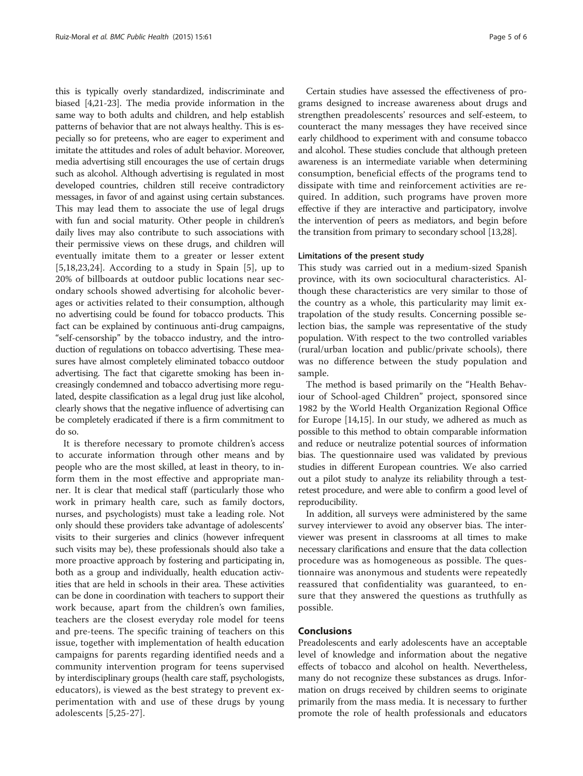this is typically overly standardized, indiscriminate and biased [\[4,21-23](#page-5-0)]. The media provide information in the same way to both adults and children, and help establish patterns of behavior that are not always healthy. This is especially so for preteens, who are eager to experiment and imitate the attitudes and roles of adult behavior. Moreover, media advertising still encourages the use of certain drugs such as alcohol. Although advertising is regulated in most developed countries, children still receive contradictory messages, in favor of and against using certain substances. This may lead them to associate the use of legal drugs with fun and social maturity. Other people in children's daily lives may also contribute to such associations with their permissive views on these drugs, and children will eventually imitate them to a greater or lesser extent [[5,18,23](#page-5-0),[24\]](#page-5-0). According to a study in Spain [[5\]](#page-5-0), up to 20% of billboards at outdoor public locations near secondary schools showed advertising for alcoholic beverages or activities related to their consumption, although no advertising could be found for tobacco products. This fact can be explained by continuous anti-drug campaigns, "self-censorship" by the tobacco industry, and the introduction of regulations on tobacco advertising. These measures have almost completely eliminated tobacco outdoor advertising. The fact that cigarette smoking has been increasingly condemned and tobacco advertising more regulated, despite classification as a legal drug just like alcohol, clearly shows that the negative influence of advertising can be completely eradicated if there is a firm commitment to do so.

It is therefore necessary to promote children's access to accurate information through other means and by people who are the most skilled, at least in theory, to inform them in the most effective and appropriate manner. It is clear that medical staff (particularly those who work in primary health care, such as family doctors, nurses, and psychologists) must take a leading role. Not only should these providers take advantage of adolescents' visits to their surgeries and clinics (however infrequent such visits may be), these professionals should also take a more proactive approach by fostering and participating in, both as a group and individually, health education activities that are held in schools in their area. These activities can be done in coordination with teachers to support their work because, apart from the children's own families, teachers are the closest everyday role model for teens and pre-teens. The specific training of teachers on this issue, together with implementation of health education campaigns for parents regarding identified needs and a community intervention program for teens supervised by interdisciplinary groups (health care staff, psychologists, educators), is viewed as the best strategy to prevent experimentation with and use of these drugs by young adolescents [\[5](#page-5-0),[25-27\]](#page-5-0).

Certain studies have assessed the effectiveness of programs designed to increase awareness about drugs and strengthen preadolescents' resources and self-esteem, to counteract the many messages they have received since early childhood to experiment with and consume tobacco and alcohol. These studies conclude that although preteen awareness is an intermediate variable when determining consumption, beneficial effects of the programs tend to dissipate with time and reinforcement activities are required. In addition, such programs have proven more effective if they are interactive and participatory, involve the intervention of peers as mediators, and begin before the transition from primary to secondary school [[13,28](#page-5-0)].

# Limitations of the present study

This study was carried out in a medium-sized Spanish province, with its own sociocultural characteristics. Although these characteristics are very similar to those of the country as a whole, this particularity may limit extrapolation of the study results. Concerning possible selection bias, the sample was representative of the study population. With respect to the two controlled variables (rural/urban location and public/private schools), there was no difference between the study population and sample.

The method is based primarily on the "Health Behaviour of School-aged Children" project, sponsored since 1982 by the World Health Organization Regional Office for Europe [\[14,15\]](#page-5-0). In our study, we adhered as much as possible to this method to obtain comparable information and reduce or neutralize potential sources of information bias. The questionnaire used was validated by previous studies in different European countries. We also carried out a pilot study to analyze its reliability through a testretest procedure, and were able to confirm a good level of reproducibility.

In addition, all surveys were administered by the same survey interviewer to avoid any observer bias. The interviewer was present in classrooms at all times to make necessary clarifications and ensure that the data collection procedure was as homogeneous as possible. The questionnaire was anonymous and students were repeatedly reassured that confidentiality was guaranteed, to ensure that they answered the questions as truthfully as possible.

# Conclusions

Preadolescents and early adolescents have an acceptable level of knowledge and information about the negative effects of tobacco and alcohol on health. Nevertheless, many do not recognize these substances as drugs. Information on drugs received by children seems to originate primarily from the mass media. It is necessary to further promote the role of health professionals and educators